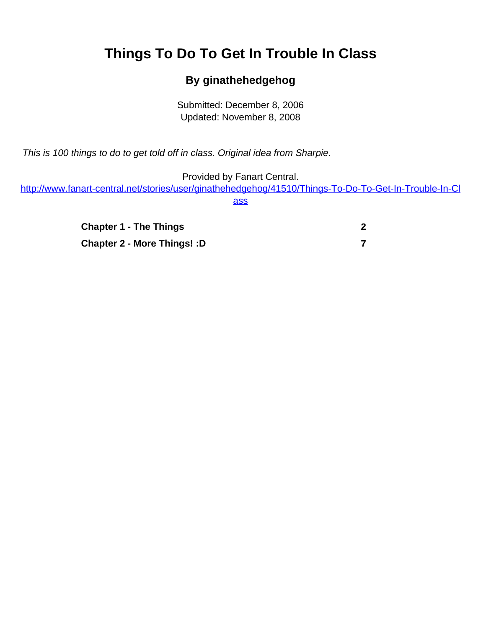## <span id="page-0-0"></span>**Things To Do To Get In Trouble In Class**

## **By ginathehedgehog**

Submitted: December 8, 2006 Updated: November 8, 2008

This is 100 things to do to get told off in class. Original idea from Sharpie.

Provided by Fanart Central.

[http://www.fanart-central.net/stories/user/ginathehedgehog/41510/Things-To-Do-To-Get-In-Trouble-In-Cl](#page-0-0) [ass](#page-0-0)

> **[Chapter 1 - The Things](#page-1-0) [2](#page-1-0) [Chapter 2 - More Things! :D](#page-6-0) [7](#page-6-0)**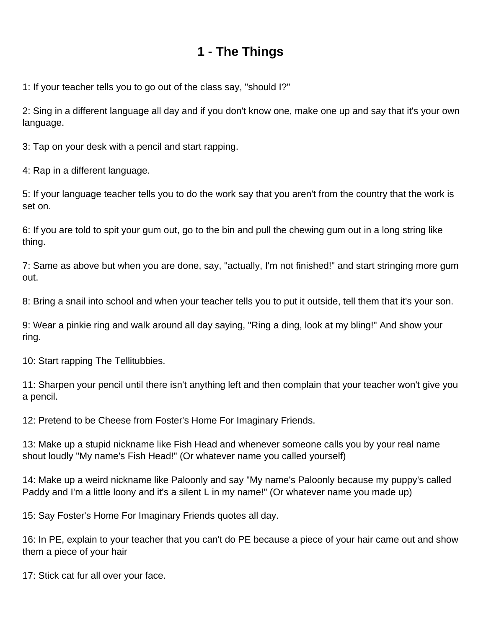## **1 - The Things**

<span id="page-1-0"></span>1: If your teacher tells you to go out of the class say, "should I?"

2: Sing in a different language all day and if you don't know one, make one up and say that it's your own language.

3: Tap on your desk with a pencil and start rapping.

4: Rap in a different language.

5: If your language teacher tells you to do the work say that you aren't from the country that the work is set on.

6: If you are told to spit your gum out, go to the bin and pull the chewing gum out in a long string like thing.

7: Same as above but when you are done, say, "actually, I'm not finished!" and start stringing more gum out.

8: Bring a snail into school and when your teacher tells you to put it outside, tell them that it's your son.

9: Wear a pinkie ring and walk around all day saying, "Ring a ding, look at my bling!" And show your ring.

10: Start rapping The Tellitubbies.

11: Sharpen your pencil until there isn't anything left and then complain that your teacher won't give you a pencil.

12: Pretend to be Cheese from Foster's Home For Imaginary Friends.

13: Make up a stupid nickname like Fish Head and whenever someone calls you by your real name shout loudly "My name's Fish Head!" (Or whatever name you called yourself)

14: Make up a weird nickname like Paloonly and say "My name's Paloonly because my puppy's called Paddy and I'm a little loony and it's a silent L in my name!" (Or whatever name you made up)

15: Say Foster's Home For Imaginary Friends quotes all day.

16: In PE, explain to your teacher that you can't do PE because a piece of your hair came out and show them a piece of your hair

17: Stick cat fur all over your face.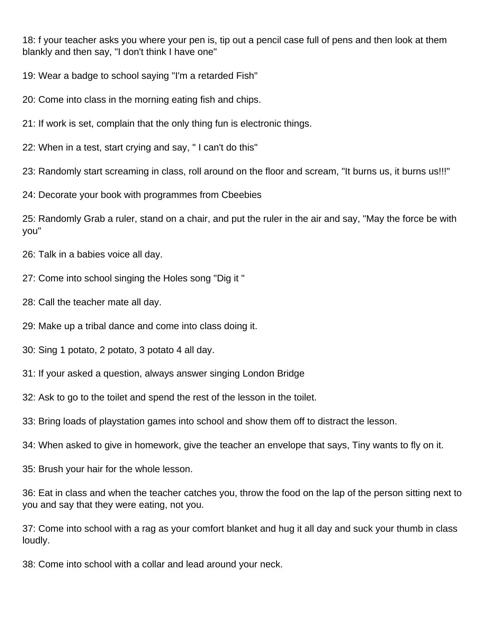18: f your teacher asks you where your pen is, tip out a pencil case full of pens and then look at them blankly and then say, "I don't think I have one"

19: Wear a badge to school saying "I'm a retarded Fish"

20: Come into class in the morning eating fish and chips.

21: If work is set, complain that the only thing fun is electronic things.

22: When in a test, start crying and say, " I can't do this"

23: Randomly start screaming in class, roll around on the floor and scream, "It burns us, it burns us!!!"

24: Decorate your book with programmes from Cbeebies

25: Randomly Grab a ruler, stand on a chair, and put the ruler in the air and say, "May the force be with you"

26: Talk in a babies voice all day.

- 27: Come into school singing the Holes song "Dig it "
- 28: Call the teacher mate all day.
- 29: Make up a tribal dance and come into class doing it.
- 30: Sing 1 potato, 2 potato, 3 potato 4 all day.
- 31: If your asked a question, always answer singing London Bridge
- 32: Ask to go to the toilet and spend the rest of the lesson in the toilet.
- 33: Bring loads of playstation games into school and show them off to distract the lesson.

34: When asked to give in homework, give the teacher an envelope that says, Tiny wants to fly on it.

35: Brush your hair for the whole lesson.

36: Eat in class and when the teacher catches you, throw the food on the lap of the person sitting next to you and say that they were eating, not you.

37: Come into school with a rag as your comfort blanket and hug it all day and suck your thumb in class loudly.

38: Come into school with a collar and lead around your neck.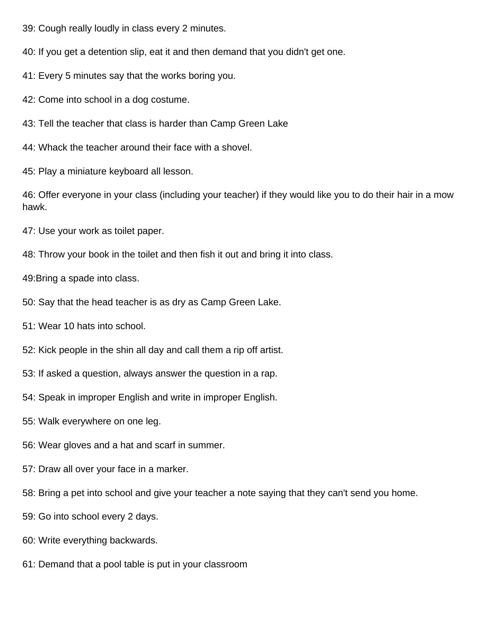- 39: Cough really loudly in class every 2 minutes.
- 40: If you get a detention slip, eat it and then demand that you didn't get one.
- 41: Every 5 minutes say that the works boring you.
- 42: Come into school in a dog costume.
- 43: Tell the teacher that class is harder than Camp Green Lake
- 44: Whack the teacher around their face with a shovel.
- 45: Play a miniature keyboard all lesson.

46: Offer everyone in your class (including your teacher) if they would like you to do their hair in a mow hawk.

- 47: Use your work as toilet paper.
- 48: Throw your book in the toilet and then fish it out and bring it into class.
- 49:Bring a spade into class.
- 50: Say that the head teacher is as dry as Camp Green Lake.
- 51: Wear 10 hats into school.
- 52: Kick people in the shin all day and call them a rip off artist.
- 53: If asked a question, always answer the question in a rap.
- 54: Speak in improper English and write in improper English.
- 55: Walk everywhere on one leg.
- 56: Wear gloves and a hat and scarf in summer.
- 57: Draw all over your face in a marker.
- 58: Bring a pet into school and give your teacher a note saying that they can't send you home.
- 59: Go into school every 2 days.
- 60: Write everything backwards.
- 61: Demand that a pool table is put in your classroom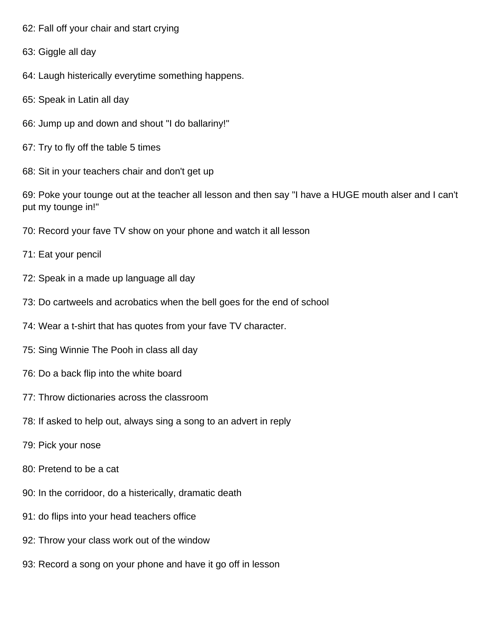- 62: Fall off your chair and start crying
- 63: Giggle all day
- 64: Laugh histerically everytime something happens.
- 65: Speak in Latin all day
- 66: Jump up and down and shout "I do ballariny!"
- 67: Try to fly off the table 5 times
- 68: Sit in your teachers chair and don't get up

69: Poke your tounge out at the teacher all lesson and then say "I have a HUGE mouth alser and I can't put my tounge in!"

- 70: Record your fave TV show on your phone and watch it all lesson
- 71: Eat your pencil
- 72: Speak in a made up language all day
- 73: Do cartweels and acrobatics when the bell goes for the end of school
- 74: Wear a t-shirt that has quotes from your fave TV character.
- 75: Sing Winnie The Pooh in class all day
- 76: Do a back flip into the white board
- 77: Throw dictionaries across the classroom
- 78: If asked to help out, always sing a song to an advert in reply
- 79: Pick your nose
- 80: Pretend to be a cat
- 90: In the corridoor, do a histerically, dramatic death
- 91: do flips into your head teachers office
- 92: Throw your class work out of the window
- 93: Record a song on your phone and have it go off in lesson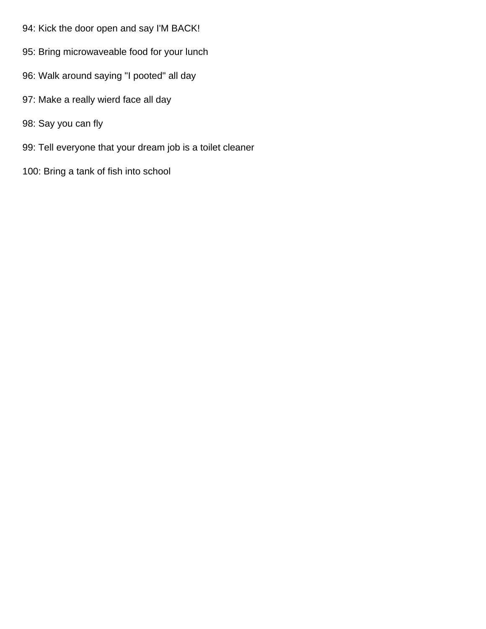- 94: Kick the door open and say I'M BACK!
- 95: Bring microwaveable food for your lunch
- 96: Walk around saying "I pooted" all day
- 97: Make a really wierd face all day
- 98: Say you can fly
- 99: Tell everyone that your dream job is a toilet cleaner
- 100: Bring a tank of fish into school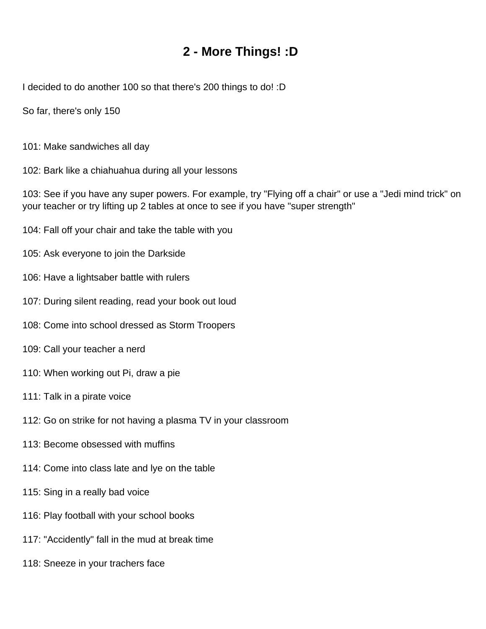## **2 - More Things! :D**

<span id="page-6-0"></span>I decided to do another 100 so that there's 200 things to do! :D

So far, there's only 150

- 101: Make sandwiches all day
- 102: Bark like a chiahuahua during all your lessons

103: See if you have any super powers. For example, try "Flying off a chair" or use a "Jedi mind trick" on your teacher or try lifting up 2 tables at once to see if you have "super strength"

- 104: Fall off your chair and take the table with you
- 105: Ask everyone to join the Darkside
- 106: Have a lightsaber battle with rulers
- 107: During silent reading, read your book out loud
- 108: Come into school dressed as Storm Troopers
- 109: Call your teacher a nerd
- 110: When working out Pi, draw a pie
- 111: Talk in a pirate voice
- 112: Go on strike for not having a plasma TV in your classroom
- 113: Become obsessed with muffins
- 114: Come into class late and lye on the table
- 115: Sing in a really bad voice
- 116: Play football with your school books
- 117: "Accidently" fall in the mud at break time
- 118: Sneeze in your trachers face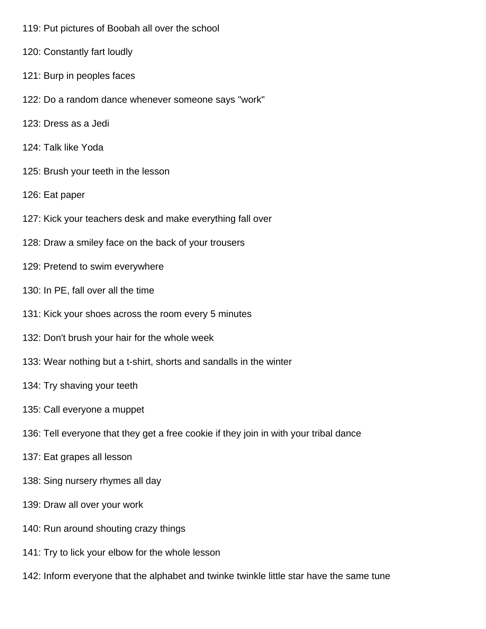- 119: Put pictures of Boobah all over the school
- 120: Constantly fart loudly
- 121: Burp in peoples faces
- 122: Do a random dance whenever someone says "work"
- 123: Dress as a Jedi
- 124: Talk like Yoda
- 125: Brush your teeth in the lesson
- 126: Eat paper
- 127: Kick your teachers desk and make everything fall over
- 128: Draw a smiley face on the back of your trousers
- 129: Pretend to swim everywhere
- 130: In PE, fall over all the time
- 131: Kick your shoes across the room every 5 minutes
- 132: Don't brush your hair for the whole week
- 133: Wear nothing but a t-shirt, shorts and sandalls in the winter
- 134: Try shaving your teeth
- 135: Call everyone a muppet
- 136: Tell everyone that they get a free cookie if they join in with your tribal dance
- 137: Eat grapes all lesson
- 138: Sing nursery rhymes all day
- 139: Draw all over your work
- 140: Run around shouting crazy things
- 141: Try to lick your elbow for the whole lesson
- 142: Inform everyone that the alphabet and twinke twinkle little star have the same tune